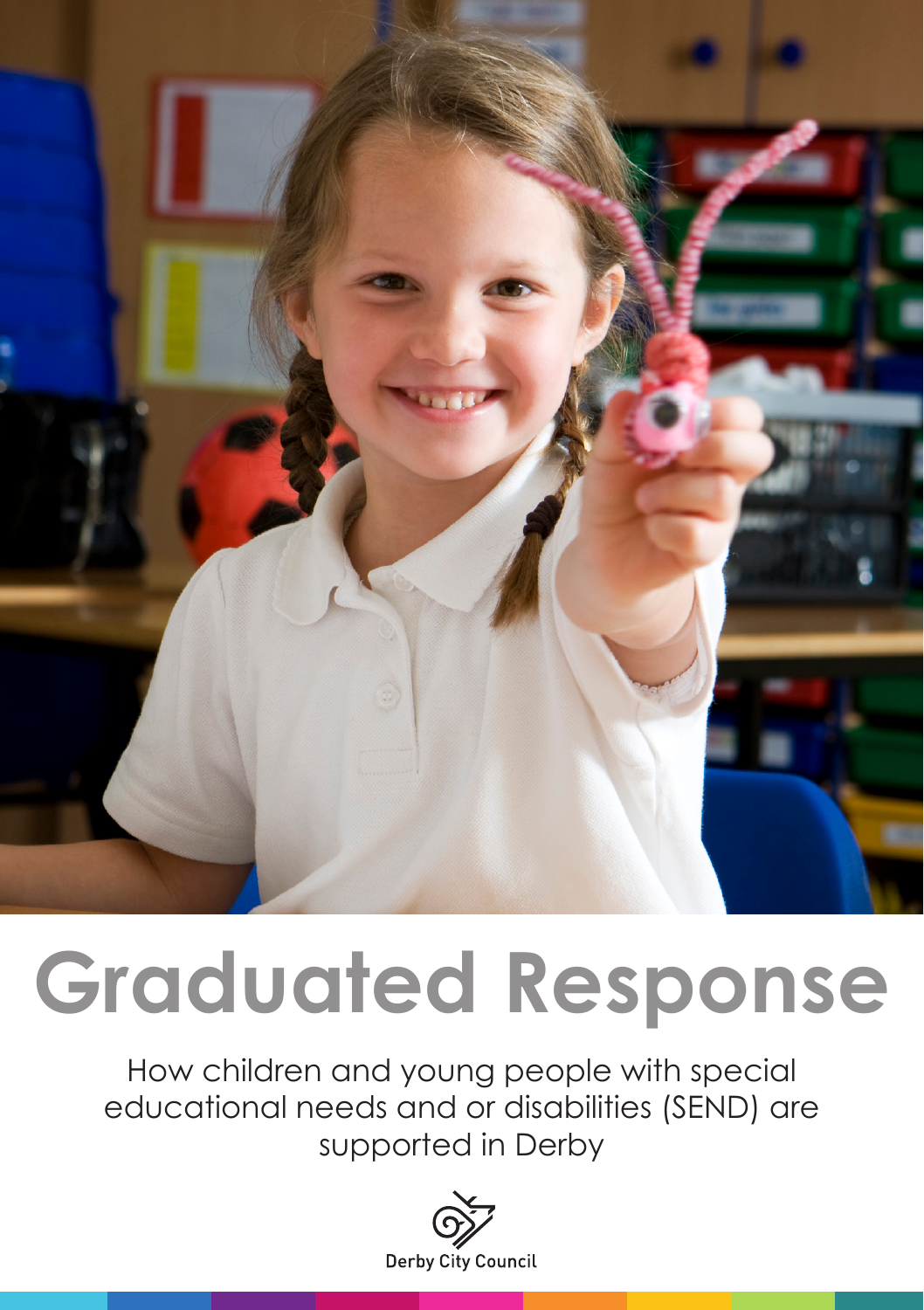

# **Graduated Response**

How children and young people with special educational needs and or disabilities (SEND) are supported in Derby

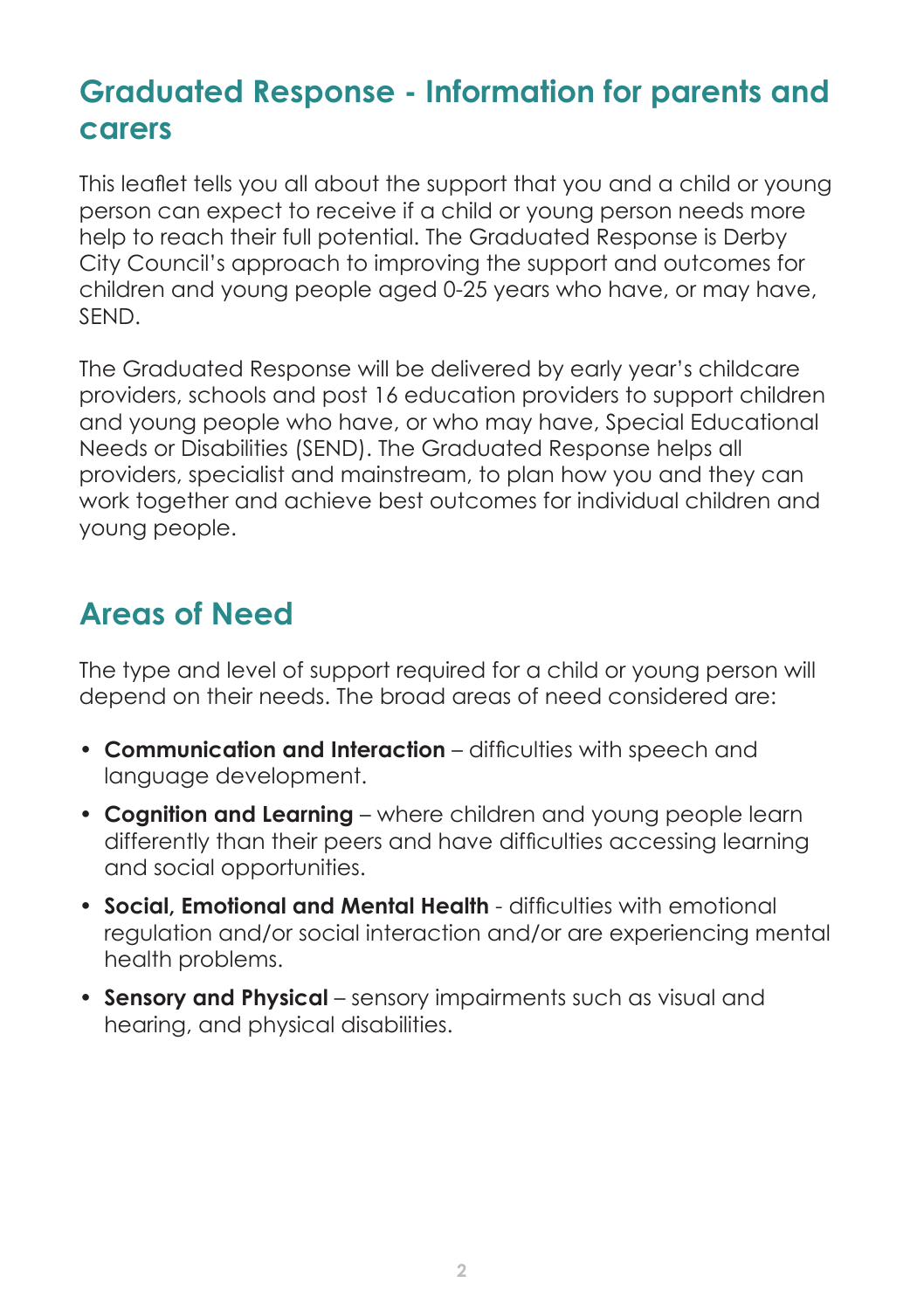# **Graduated Response - Information for parents and carers**

This leaflet tells you all about the support that you and a child or young person can expect to receive if a child or young person needs more help to reach their full potential. The Graduated Response is Derby City Council's approach to improving the support and outcomes for children and young people aged 0-25 years who have, or may have, SEND.

The Graduated Response will be delivered by early year's childcare providers, schools and post 16 education providers to support children and young people who have, or who may have, Special Educational Needs or Disabilities (SEND). The Graduated Response helps all providers, specialist and mainstream, to plan how you and they can work together and achieve best outcomes for individual children and young people.

### **Areas of Need**

The type and level of support required for a child or young person will depend on their needs. The broad areas of need considered are:

- **• Communication and Interaction** difficulties with speech and language development.
- **• Cognition and Learning** where children and young people learn differently than their peers and have difficulties accessing learning and social opportunities.
- **• Social, Emotional and Mental Health** difficulties with emotional regulation and/or social interaction and/or are experiencing mental health problems.
- **Sensory and Physical** sensory impairments such as visual and hearing, and physical disabilities.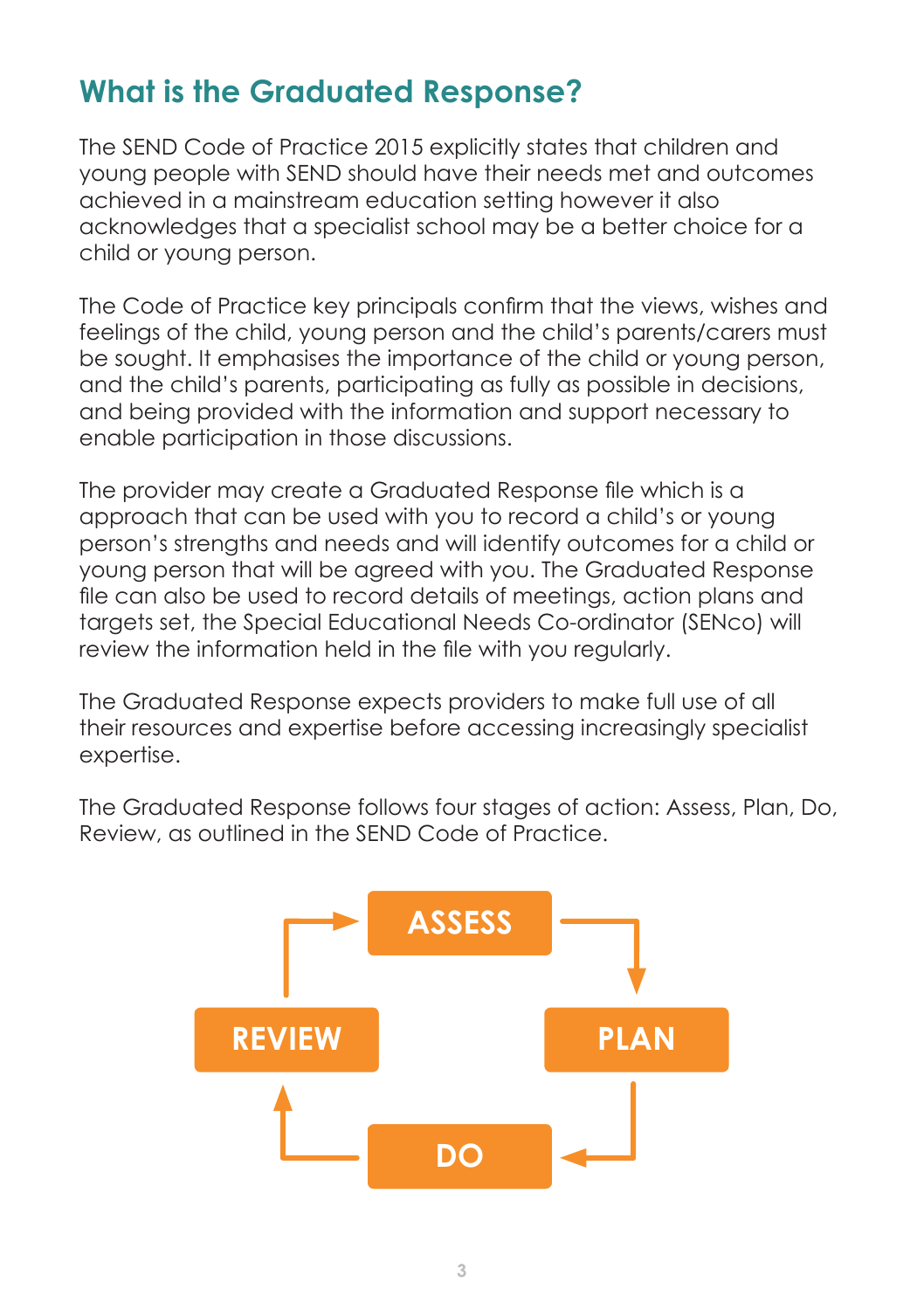# **What is the Graduated Response?**

The SEND Code of Practice 2015 explicitly states that children and young people with SEND should have their needs met and outcomes achieved in a mainstream education setting however it also acknowledges that a specialist school may be a better choice for a child or young person.

The Code of Practice key principals confirm that the views, wishes and feelings of the child, young person and the child's parents/carers must be sought. It emphasises the importance of the child or young person, and the child's parents, participating as fully as possible in decisions, and being provided with the information and support necessary to enable participation in those discussions.

The provider may create a Graduated Response file which is a approach that can be used with you to record a child's or young person's strengths and needs and will identify outcomes for a child or young person that will be agreed with you. The Graduated Response file can also be used to record details of meetings, action plans and targets set, the Special Educational Needs Co-ordinator (SENco) will review the information held in the file with you regularly.

The Graduated Response expects providers to make full use of all their resources and expertise before accessing increasingly specialist expertise.

The Graduated Response follows four stages of action: Assess, Plan, Do, Review, as outlined in the SEND Code of Practice.

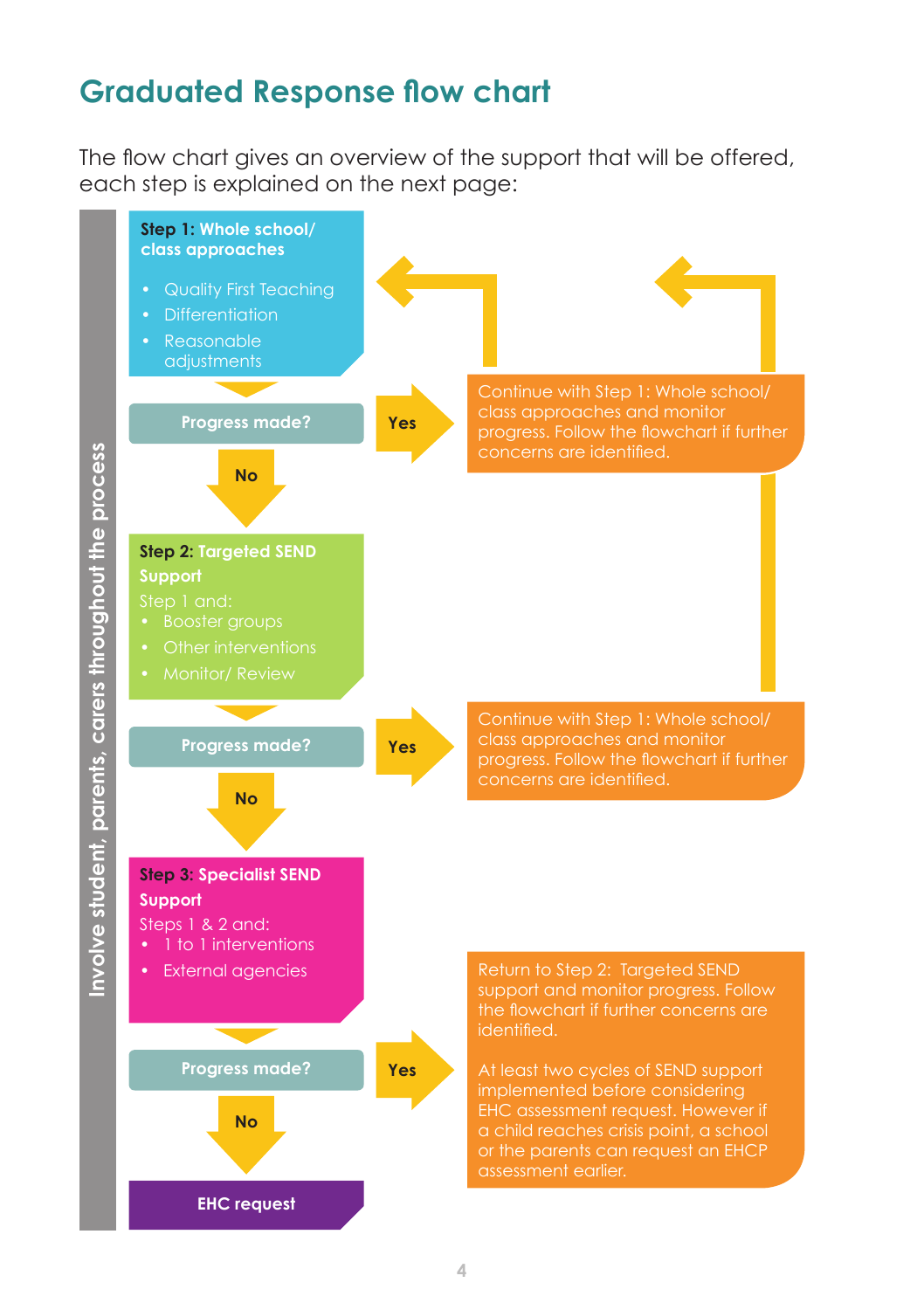# **Graduated Response flow chart**

The flow chart gives an overview of the support that will be offered, each step is explained on the next page:



nvolve student, parents, carers throughout the process **Involve student, parents, carers throughout the process**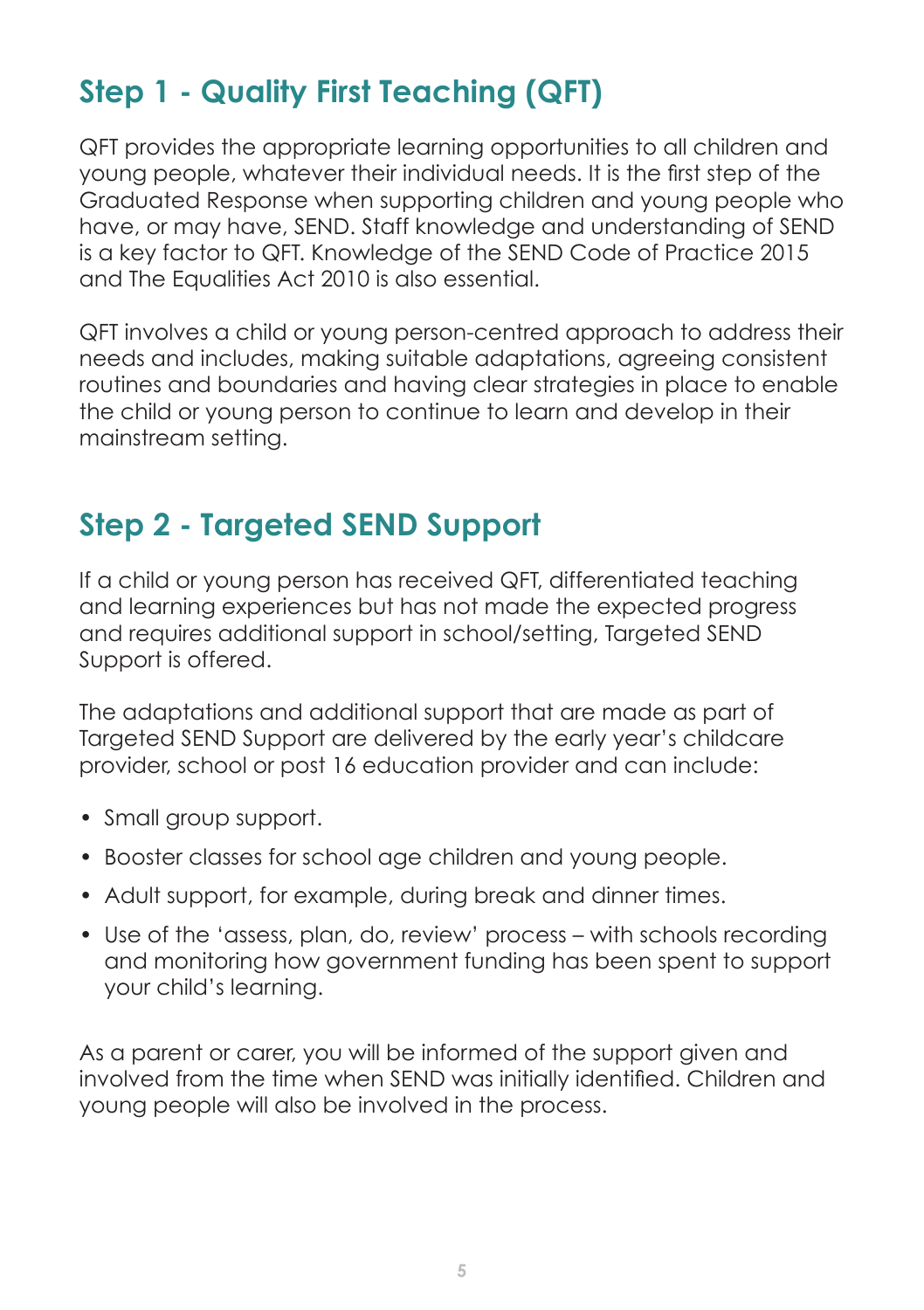# **Step 1 - Quality First Teaching (QFT)**

QFT provides the appropriate learning opportunities to all children and young people, whatever their individual needs. It is the first step of the Graduated Response when supporting children and young people who have, or may have, SEND. Staff knowledge and understanding of SEND is a key factor to QFT. Knowledge of the SEND Code of Practice 2015 and The Equalities Act 2010 is also essential.

QFT involves a child or young person-centred approach to address their needs and includes, making suitable adaptations, agreeing consistent routines and boundaries and having clear strategies in place to enable the child or young person to continue to learn and develop in their mainstream setting.

# **Step 2 - Targeted SEND Support**

If a child or young person has received QFT, differentiated teaching and learning experiences but has not made the expected progress and requires additional support in school/setting, Targeted SEND Support is offered.

The adaptations and additional support that are made as part of Targeted SEND Support are delivered by the early year's childcare provider, school or post 16 education provider and can include:

- Small group support.
- Booster classes for school age children and young people.
- Adult support, for example, during break and dinner times.
- Use of the 'assess, plan, do, review' process with schools recording and monitoring how government funding has been spent to support your child's learning.

As a parent or carer, you will be informed of the support given and involved from the time when SEND was initially identified. Children and young people will also be involved in the process.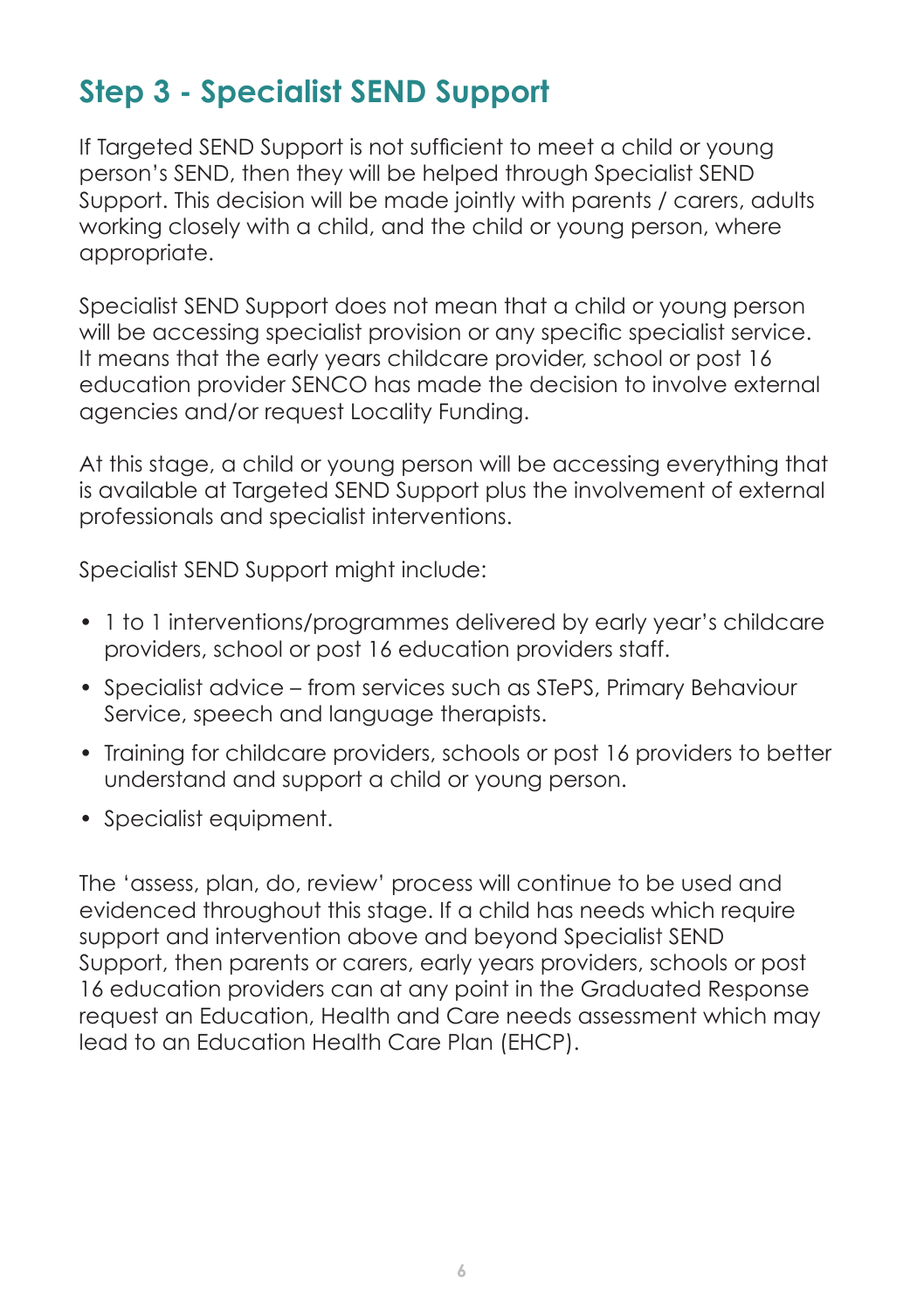# **Step 3 - Specialist SEND Support**

If Targeted SEND Support is not sufficient to meet a child or young person's SEND, then they will be helped through Specialist SEND Support. This decision will be made jointly with parents / carers, adults working closely with a child, and the child or young person, where appropriate.

Specialist SEND Support does not mean that a child or young person will be accessing specialist provision or any specific specialist service. It means that the early years childcare provider, school or post 16 education provider SENCO has made the decision to involve external agencies and/or request Locality Funding.

At this stage, a child or young person will be accessing everything that is available at Targeted SEND Support plus the involvement of external professionals and specialist interventions.

Specialist SEND Support might include:

- 1 to 1 interventions/programmes delivered by early year's childcare providers, school or post 16 education providers staff.
- Specialist advice from services such as STePS, Primary Behaviour Service, speech and language therapists.
- Training for childcare providers, schools or post 16 providers to better understand and support a child or young person.
- Specialist equipment.

The 'assess, plan, do, review' process will continue to be used and evidenced throughout this stage. If a child has needs which require support and intervention above and beyond Specialist SEND Support, then parents or carers, early years providers, schools or post 16 education providers can at any point in the Graduated Response request an Education, Health and Care needs assessment which may lead to an Education Health Care Plan (EHCP).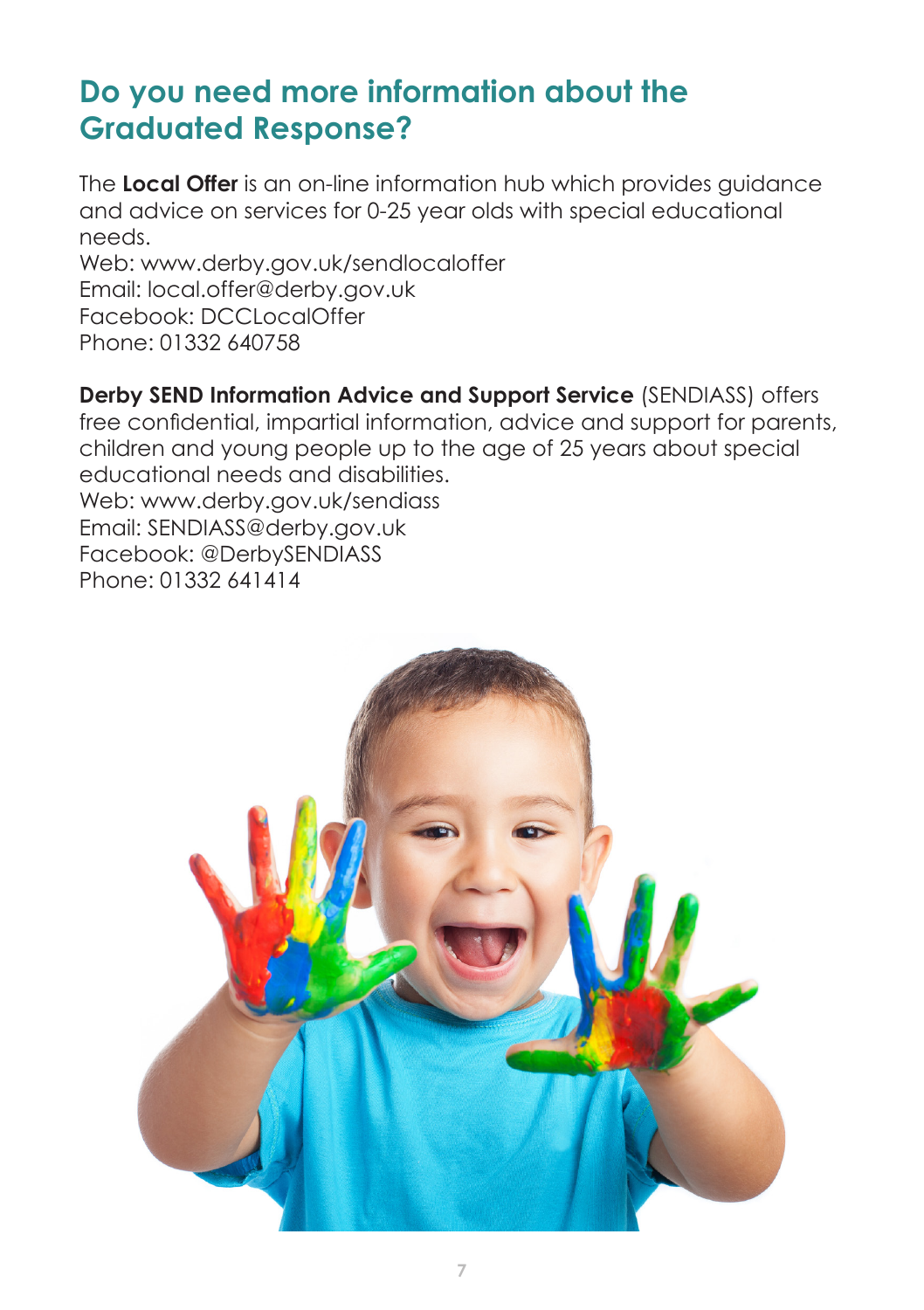# **Do you need more information about the Graduated Response?**

The **Local Offer** is an on-line information hub which provides guidance and advice on services for 0-25 year olds with special educational needs.

Web: www.derby.gov.uk/sendlocaloffer Email: local.offer@derby.gov.uk Facebook: DCCLocalOffer Phone: 01332 640758

**Derby SEND Information Advice and Support Service** (SENDIASS) offers free confidential, impartial information, advice and support for parents, children and young people up to the age of 25 years about special educational needs and disabilities. Web: www.derby.gov.uk/sendiass Email: SENDIASS@derby.gov.uk

Facebook: @DerbySENDIASS

Phone: 01332 641414